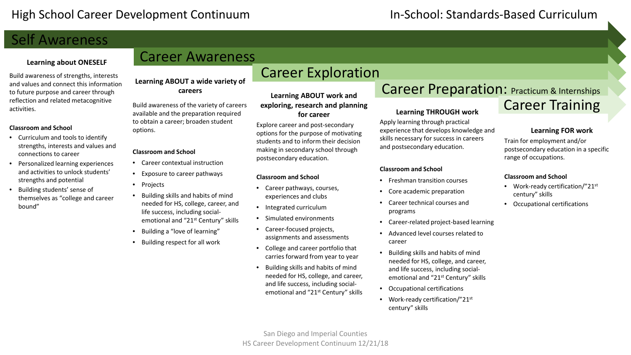# Self Awareness

### **Learning about ONESELF**

Build awareness of strengths, interests and values and connect this information to future purpose and career through reflection and related metacognitive activities.

#### **Classroom and School**

- Curriculum and tools to identify strengths, interests and values and connections to career
- Personalized learning experiences and activities to unlock students' strengths and potential
- Building students' sense of themselves as "college and career bound"

# Career Awareness

**Learning ABOUT a wide variety of careers**

Build awareness of the variety of careers available and the preparation required to obtain a career; broaden student options.

#### **Classroom and School**

- Career contextual instruction
- Exposure to career pathways
- Projects
- Building skills and habits of mind needed for HS, college, career, and life success, including socialemotional and "21st Century" skills
- Building a "love of learning"
- Building respect for all work

# Career Exploration

**Learning ABOUT work and exploring, research and planning for career**

Explore career and post-secondary options for the purpose of motivating students and to inform their decision making in secondary school through postsecondary education.

#### **Classroom and School**

- Career pathways, courses, experiences and clubs
- Integrated curriculum
- Simulated environments
- Career-focused projects, assignments and assessments
- College and career portfolio that carries forward from year to year
- Building skills and habits of mind needed for HS, college, and career, and life success, including socialemotional and "21st Century" skills

## Career Preparation: Practicum & Internships Career Training

### **Learning THROUGH work**

Apply learning through practical experience that develops knowledge and skills necessary for success in careers and postsecondary education.

### **Classroom and School**

- Freshman transition courses
- Core academic preparation
- Career technical courses and programs
- Career-related project-based learning
- Advanced level courses related to career
- Building skills and habits of mind needed for HS, college, and career, and life success, including socialemotional and "21st Century" skills
- Occupational certifications
- Work-ready certification/"21st century" skills

### **Learning FOR work**

Train for employment and/or postsecondary education in a specific range of occupations.

#### **Classroom and School**

- Work-ready certification/"21st century" skills
- Occupational certifications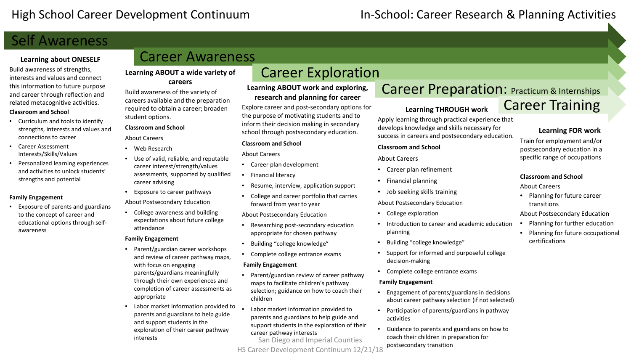### High School Career Development Continuum In-School: Career Research & Planning Activities

# Self Awareness

### **Learning about ONESELF**

Build awareness of strengths, interests and values and connect this information to future purpose and career through reflection and related metacognitive activities.

#### **Classroom and School**

- Curriculum and tools to identify strengths, interests and values and connections to career
- Career Assessment Interests/Skills/Values
- Personalized learning experiences and activities to unlock students' strengths and potential

### **Family Engagement**

• Exposure of parents and guardians to the concept of career and educational options through selfawareness

# Career Awareness

### **Learning ABOUT a wide variety of careers**

Build awareness of the variety of careers available and the preparation required to obtain a career; broaden student options.

#### **Classroom and School**

About Careers

- Web Research
- Use of valid, reliable, and reputable career interest/strength/values assessments, supported by qualified career advising
- Exposure to career pathways About Postsecondary Education
- College awareness and building expectations about future college attendance

#### **Family Engagement**

- Parent/guardian career workshops and review of career pathway maps, with focus on engaging parents/guardians meaningfully through their own experiences and completion of career assessments as appropriate
- Labor market information provided to  $\bullet$ parents and guardians to help guide and support students in the exploration of their career pathway interests

# Career Exploration

**Learning ABOUT work and exploring, research and planning for career**

Explore career and post-secondary options for the purpose of motivating students and to inform their decision making in secondary school through postsecondary education.

#### **Classroom and School**

About Careers

- Career plan development
- Financial literacy
- Resume, interview, application support
- College and career portfolio that carries forward from year to year

About Postsecondary Education

- Researching post-secondary education appropriate for chosen pathway
- Building "college knowledge"
- Complete college entrance exams

#### **Family Engagement**

- Parent/guardian review of career pathway maps to facilitate children's pathway selection; guidance on how to coach their children
- Labor market information provided to parents and guardians to help guide and support students in the exploration of their career pathway interests

San Diego and Imperial Counties HS Career Development Continuum 12/21/18

# Career Preparation: Practicum & Internships Career Training

### **Learning THROUGH work**

Apply learning through practical experience that develops knowledge and skills necessary for success in careers and postsecondary education.

### **Classroom and School**

#### About Careers

- Career plan refinement
- Financial planning
- Job seeking skills training

#### About Postsecondary Education

- College exploration
- Introduction to career and academic education planning
- Building "college knowledge"
- Support for informed and purposeful college decision-making
- Complete college entrance exams

#### **Family Engagement**

- Engagement of parents/guardians in decisions about career pathway selection (if not selected)
- Participation of parents/guardians in pathway activities
- Guidance to parents and guardians on how to coach their children in preparation for postsecondary transition

### **Learning FOR work**

Train for employment and/or postsecondary education in a specific range of occupations

#### **Classroom and School**

About Careers

• Planning for future career transitions

#### About Postsecondary Education

- Planning for further education
- Planning for future occupational certifications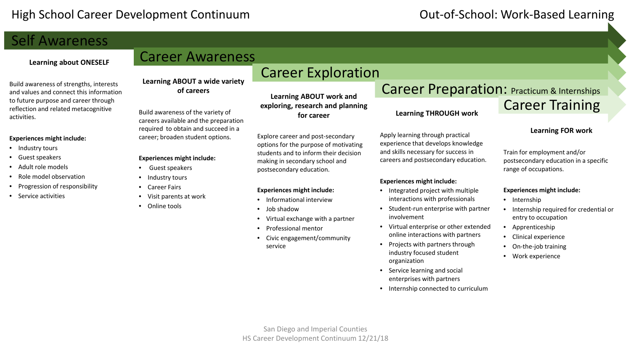# Self Awareness

### **Learning about ONESELF**

Build awareness of strengths, interests and values and connect this information to future purpose and career through reflection and related metacognitive activities.

#### **Experiences might include:**

- Industry tours
- Guest speakers
- Adult role models
- Role model observation
- Progression of responsibility
- Service activities

# Career Awareness

**Learning ABOUT a wide variety of careers**

Build awareness of the variety of careers available and the preparation required to obtain and succeed in a career; broaden student options.

#### **Experiences might include:**

- Guest speakers
- Industry tours
- Career Fairs
- Visit parents at work
- Online tools

Career Exploration

**Learning ABOUT work and exploring, research and planning for career**

Explore career and post-secondary options for the purpose of motivating students and to inform their decision making in secondary school and postsecondary education.

### **Experiences might include:**

- Informational interview
- Job shadow
- Virtual exchange with a partner
- Professional mentor
- Civic engagement/community service

Career Preparation: Practicum & Internships Career Training

### **Learning FOR work**

Train for employment and/or postsecondary education in a specific range of occupations.

#### **Experiences might include:**

- Internship
- Internship required for credential or entry to occupation
- Apprenticeship
- Clinical experience
- On-the-job training
- Work experience

**Learning THROUGH work**

Apply learning through practical experience that develops knowledge and skills necessary for success in careers and postsecondary education.

**Experiences might include:**

involvement

organization

• Service learning and social enterprises with partners • Internship connected to curriculum

• Integrated project with multiple interactions with professionals • Student-run enterprise with partner

• Virtual enterprise or other extended online interactions with partners • Projects with partners through industry focused student